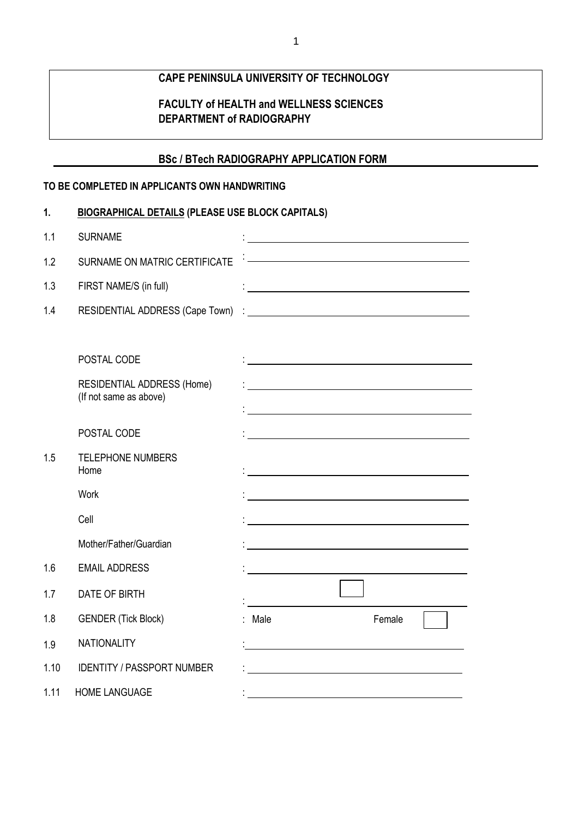# **CAPE PENINSULA UNIVERSITY OF TECHNOLOGY**

## **FACULTY of HEALTH and WELLNESS SCIENCES DEPARTMENT of RADIOGRAPHY**

### **BSc / BTech RADIOGRAPHY APPLICATION FORM**

### **TO BE COMPLETED IN APPLICANTS OWN HANDWRITING**

| 1.   | <b>BIOGRAPHICAL DETAILS (PLEASE USE BLOCK CAPITALS)</b> |                                                                                                                       |
|------|---------------------------------------------------------|-----------------------------------------------------------------------------------------------------------------------|
| 1.1  | <b>SURNAME</b>                                          | <u> 1980 - Johann Barnett, fransk politik (d. 1980)</u>                                                               |
| 1.2  | SURNAME ON MATRIC CERTIFICATE                           |                                                                                                                       |
| 1.3  | FIRST NAME/S (in full)                                  | <u> 1980 - Johann Barbara, martxa alemaniar a</u>                                                                     |
| 1.4  |                                                         |                                                                                                                       |
|      |                                                         |                                                                                                                       |
|      | POSTAL CODE                                             | <u> 1989 - John Stone, Amerikaansk politiker (</u>                                                                    |
|      | RESIDENTIAL ADDRESS (Home)<br>(If not same as above)    |                                                                                                                       |
|      |                                                         |                                                                                                                       |
|      | POSTAL CODE                                             | <u> 1989 - Johann Barbara, martin amerikan basar dan basar dan basar dalam basar dalam basar dalam basar dalam ba</u> |
| 1.5  | <b>TELEPHONE NUMBERS</b><br>Home                        |                                                                                                                       |
|      | Work                                                    |                                                                                                                       |
|      | Cell                                                    |                                                                                                                       |
|      | Mother/Father/Guardian                                  |                                                                                                                       |
| 1.6  | <b>EMAIL ADDRESS</b>                                    |                                                                                                                       |
| 1.7  | DATE OF BIRTH                                           |                                                                                                                       |
| 1.8  | <b>GENDER (Tick Block)</b>                              | : Male<br>Female                                                                                                      |
| 1.9  | <b>NATIONALITY</b>                                      |                                                                                                                       |
| 1.10 | <b>IDENTITY / PASSPORT NUMBER</b>                       |                                                                                                                       |
| 1.11 | <b>HOME LANGUAGE</b>                                    |                                                                                                                       |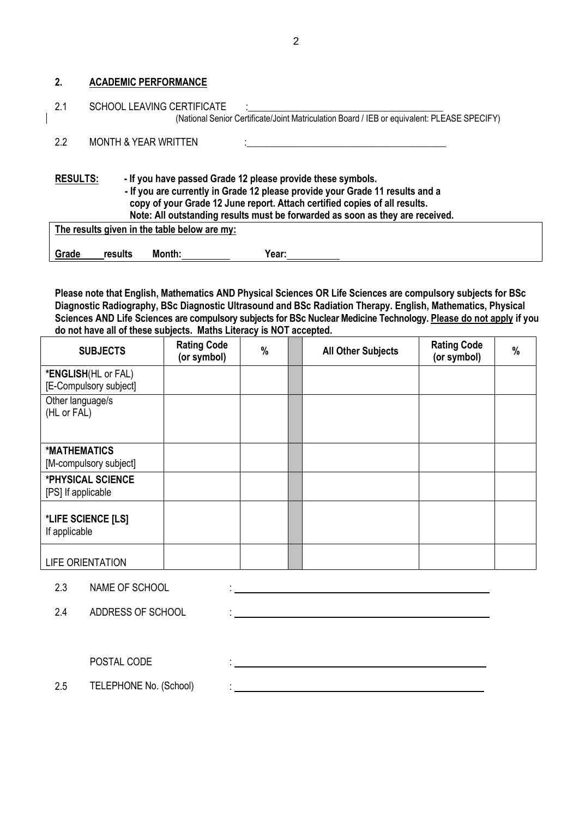#### **2. ACADEMIC PERFORMANCE**

| 2.1             | <b>SCHOOL LEAVING CERTIFICATE</b><br>(National Senior Certificate/Joint Matriculation Board / IEB or equivalent: PLEASE SPECIFY)                                                                                                                                                                                                                            |
|-----------------|-------------------------------------------------------------------------------------------------------------------------------------------------------------------------------------------------------------------------------------------------------------------------------------------------------------------------------------------------------------|
| 2.2             | <b>MONTH &amp; YEAR WRITTEN</b>                                                                                                                                                                                                                                                                                                                             |
| <b>RESULTS:</b> | - If you have passed Grade 12 please provide these symbols.<br>- If you are currently in Grade 12 please provide your Grade 11 results and a<br>copy of your Grade 12 June report. Attach certified copies of all results.<br>Note: All outstanding results must be forwarded as soon as they are received.<br>The results given in the table below are my: |
| Grade           | results<br>Month:<br>Year:                                                                                                                                                                                                                                                                                                                                  |

**Please note that English, Mathematics AND Physical Sciences OR Life Sciences are compulsory subjects for BSc Diagnostic Radiography, BSc Diagnostic Ultrasound and BSc Radiation Therapy. English, Mathematics, Physical Sciences AND Life Sciences are compulsory subjects for BSc Nuclear Medicine Technology. Please do not apply if you do not have all of these subjects. Maths Literacy is NOT accepted.**

| <b>SUBJECTS</b>                               | <b>Rating Code</b><br>(or symbol) | % | <b>All Other Subjects</b> | <b>Rating Code</b><br>(or symbol) | % |
|-----------------------------------------------|-----------------------------------|---|---------------------------|-----------------------------------|---|
| *ENGLISH(HL or FAL)<br>[E-Compulsory subject] |                                   |   |                           |                                   |   |
| Other language/s<br>(HL or FAL)               |                                   |   |                           |                                   |   |
| *MATHEMATICS<br>[M-compulsory subject]        |                                   |   |                           |                                   |   |
| *PHYSICAL SCIENCE<br>[PS] If applicable       |                                   |   |                           |                                   |   |
| *LIFE SCIENCE [LS]<br>If applicable           |                                   |   |                           |                                   |   |
| <b>LIFE ORIENTATION</b>                       |                                   |   |                           |                                   |   |

the contract of the contract of the contract of the contract of the contract of the contract of the contract of<br>The contract of the contract of the contract of the contract of the contract of the contract of the contract o

:

2.3 NAME OF SCHOOL

2.4 ADDRESS OF SCHOOL :

POSTAL CODE

2.5 TELEPHONE No. (School)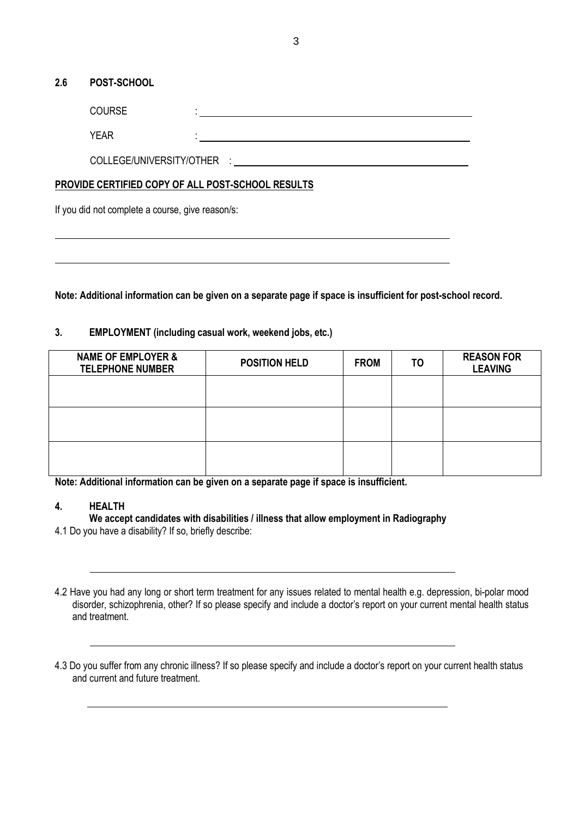#### **2.6 POST-SCHOOL**

COURSE

YEAR

COLLEGE/UNIVERSITY/OTHER :

### **PROVIDE CERTIFIED COPY OF ALL POST-SCHOOL RESULTS**

:

If you did not complete a course, give reason/s:

**Note: Additional information can be given on a separate page if space is insufficient for post-school record.**

### **3. EMPLOYMENT (including casual work, weekend jobs, etc.)**

| <b>NAME OF EMPLOYER &amp;</b><br><b>TELEPHONE NUMBER</b> | <b>POSITION HELD</b> | <b>FROM</b> | T <sub>O</sub> | <b>REASON FOR</b><br><b>LEAVING</b> |
|----------------------------------------------------------|----------------------|-------------|----------------|-------------------------------------|
|                                                          |                      |             |                |                                     |
|                                                          |                      |             |                |                                     |
|                                                          |                      |             |                |                                     |

**Note: Additional information can be given on a separate page if space is insufficient.**

#### **4. HEALTH**

**We accept candidates with disabilities / illness that allow employment in Radiography**

4.1 Do you have a disability? If so, briefly describe:

the contract of the contract of the contract of the contract of the contract of the contract of the contract of

<sup>4.2</sup> Have you had any long or short term treatment for any issues related to mental health e.g. depression, bi-polar mood disorder, schizophrenia, other? If so please specify and include a doctor's report on your current mental health status and treatment.

<sup>4.3</sup> Do you suffer from any chronic illness? If so please specify and include a doctor's report on your current health status and current and future treatment.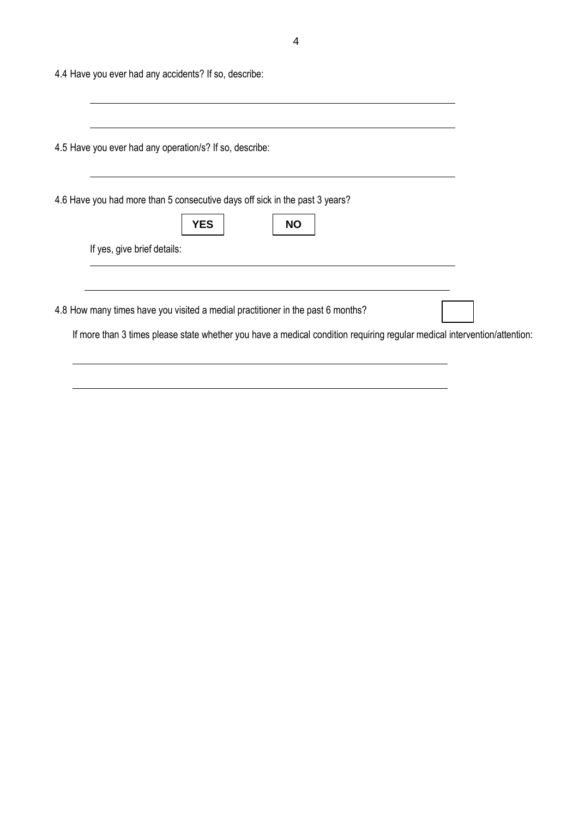4.4 Have you ever had any accidents? If so, describe:

| <b>YES</b><br><b>NO</b> |                                                                                                                                                                                                                                                                                                                                                                                      |
|-------------------------|--------------------------------------------------------------------------------------------------------------------------------------------------------------------------------------------------------------------------------------------------------------------------------------------------------------------------------------------------------------------------------------|
|                         |                                                                                                                                                                                                                                                                                                                                                                                      |
|                         |                                                                                                                                                                                                                                                                                                                                                                                      |
|                         | 4.5 Have you ever had any operation/s? If so, describe:<br>4.6 Have you had more than 5 consecutive days off sick in the past 3 years?<br>If yes, give brief details:<br>4.8 How many times have you visited a medial practitioner in the past 6 months?<br>If more than 3 times please state whether you have a medical condition requiring regular medical intervention/attention: |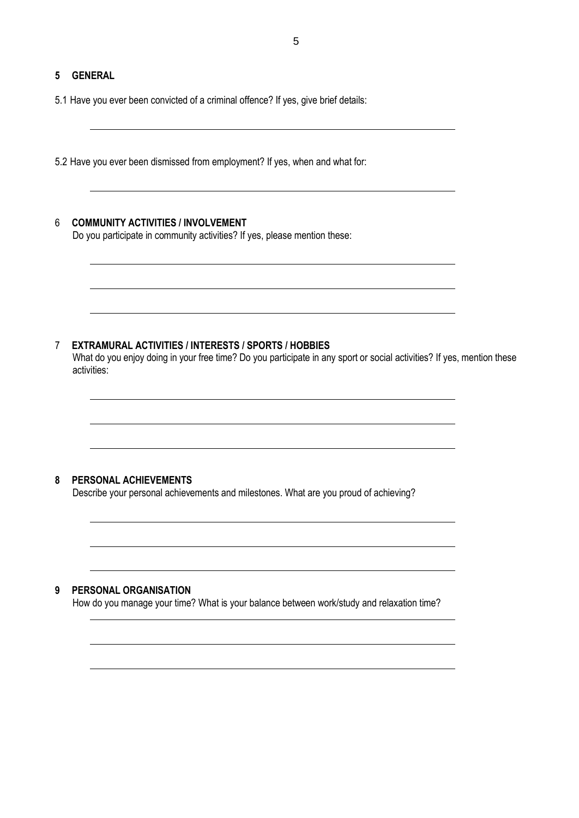### **5 GENERAL**

5.1 Have you ever been convicted of a criminal offence? If yes, give brief details:

5.2 Have you ever been dismissed from employment? If yes, when and what for:

### 6 **COMMUNITY ACTIVITIES / INVOLVEMENT**

Do you participate in community activities? If yes, please mention these:

#### 7 **EXTRAMURAL ACTIVITIES / INTERESTS / SPORTS / HOBBIES**

What do you enjoy doing in your free time? Do you participate in any sport or social activities? If yes, mention these activities:

#### **8 PERSONAL ACHIEVEMENTS**

Describe your personal achievements and milestones. What are you proud of achieving?

### **9 PERSONAL ORGANISATION**

How do you manage your time? What is your balance between work/study and relaxation time?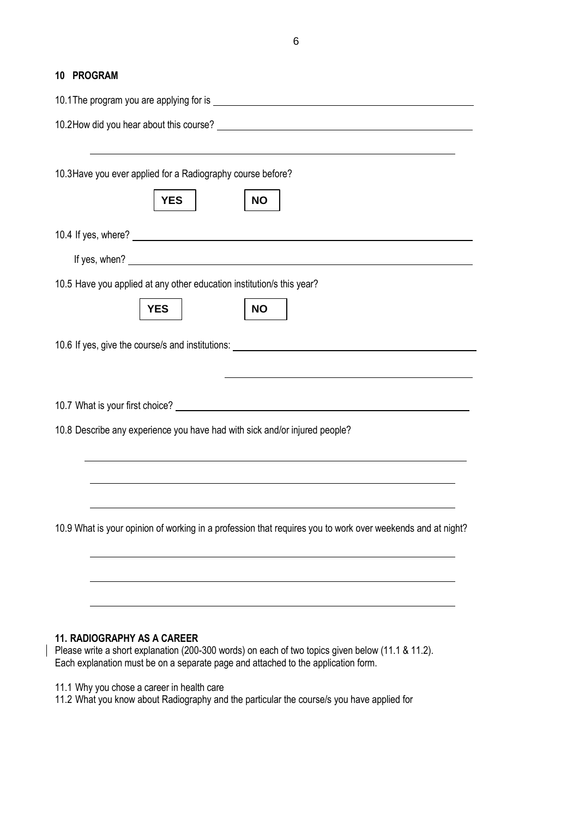#### **10 PROGRAM**

| 10.1 The program you are applying for is example to the state of the state of the state of the state of the state of the state of the state of the state of the state of the state of the state of the state of the state of t       |
|--------------------------------------------------------------------------------------------------------------------------------------------------------------------------------------------------------------------------------------|
| 10.2How did you hear about this course?                                                                                                                                                                                              |
|                                                                                                                                                                                                                                      |
| 10.3 Have you ever applied for a Radiography course before?                                                                                                                                                                          |
| <b>YES</b><br><b>NO</b>                                                                                                                                                                                                              |
|                                                                                                                                                                                                                                      |
| If yes, when? <u>example a set of the set of the set of the set of the set of the set of the set of the set of the set of the set of the set of the set of the set of the set of the set of the set of the set of the set of the</u> |
| 10.5 Have you applied at any other education institution/s this year?                                                                                                                                                                |
| <b>NO</b><br><b>YES</b>                                                                                                                                                                                                              |
| 10.6 If yes, give the course/s and institutions: ________________________________                                                                                                                                                    |
|                                                                                                                                                                                                                                      |
|                                                                                                                                                                                                                                      |
| 10.8 Describe any experience you have had with sick and/or injured people?                                                                                                                                                           |
|                                                                                                                                                                                                                                      |
|                                                                                                                                                                                                                                      |
|                                                                                                                                                                                                                                      |
| 10.9 What is your opinion of working in a profession that requires you to work over weekends and at night?                                                                                                                           |
|                                                                                                                                                                                                                                      |
|                                                                                                                                                                                                                                      |
|                                                                                                                                                                                                                                      |
|                                                                                                                                                                                                                                      |
| <b>11. RADIOGRAPHY AS A CAREER</b>                                                                                                                                                                                                   |

Please write a short explanation (200-300 words) on each of two topics given below (11.1 & 11.2). Each explanation must be on a separate page and attached to the application form.

11.1 Why you chose a career in health care

11.2 What you know about Radiography and the particular the course/s you have applied for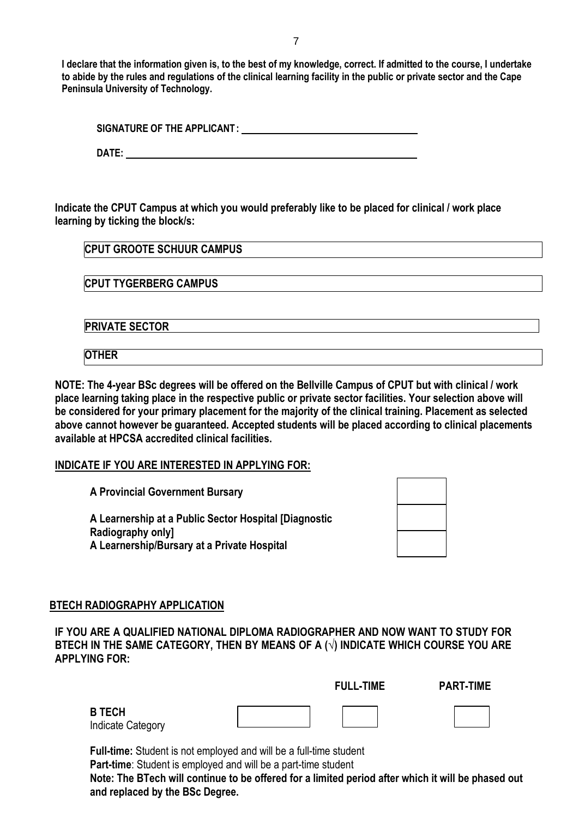**I declare that the information given is, to the best of my knowledge, correct. If admitted to the course, I undertake to abide by the rules and regulations of the clinical learning facility in the public or private sector and the Cape Peninsula University of Technology.**

|--|

**DATE:** 

**Indicate the CPUT Campus at which you would preferably like to be placed for clinical / work place learning by ticking the block/s:**

**CPUT TYGERBERG CAMPUS**

**PRIVATE SECTOR** 

**OTHER**

**NOTE: The 4-year BSc degrees will be offered on the Bellville Campus of CPUT but with clinical / work place learning taking place in the respective public or private sector facilities. Your selection above will be considered for your primary placement for the majority of the clinical training. Placement as selected above cannot however be guaranteed. Accepted students will be placed according to clinical placements available at HPCSA accredited clinical facilities.**

**INDICATE IF YOU ARE INTERESTED IN APPLYING FOR:**

**A Provincial Government Bursary**

**A Learnership at a Public Sector Hospital [Diagnostic Radiography only] A Learnership/Bursary at a Private Hospital**

### **BTECH RADIOGRAPHY APPLICATION**

**IF YOU ARE A QUALIFIED NATIONAL DIPLOMA RADIOGRAPHER AND NOW WANT TO STUDY FOR BTECH IN THE SAME CATEGORY, THEN BY MEANS OF A (√) INDICATE WHICH COURSE YOU ARE APPLYING FOR:**

|                                    | <b>FULL-TIME</b> | <b>PART-TIME</b> |
|------------------------------------|------------------|------------------|
| <b>B TECH</b><br>Indicate Category |                  |                  |

**Full-time:** Student is not employed and will be a full-time student **Part-time**: Student is employed and will be a part-time student

**Note: The BTech will continue to be offered for a limited period after which it will be phased out and replaced by the BSc Degree.**